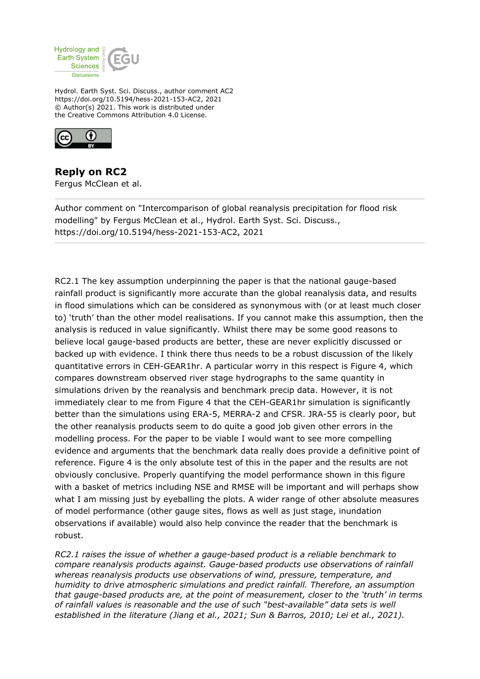

Hydrol. Earth Syst. Sci. Discuss., author comment AC2 https://doi.org/10.5194/hess-2021-153-AC2, 2021 © Author(s) 2021. This work is distributed under the Creative Commons Attribution 4.0 License.



**Reply on RC2** Fergus McClean et al.

Author comment on "Intercomparison of global reanalysis precipitation for flood risk modelling" by Fergus McClean et al., Hydrol. Earth Syst. Sci. Discuss., https://doi.org/10.5194/hess-2021-153-AC2, 2021

RC2.1 The key assumption underpinning the paper is that the national gauge-based rainfall product is significantly more accurate than the global reanalysis data, and results in flood simulations which can be considered as synonymous with (or at least much closer to) 'truth' than the other model realisations. If you cannot make this assumption, then the analysis is reduced in value significantly. Whilst there may be some good reasons to believe local gauge-based products are better, these are never explicitly discussed or backed up with evidence. I think there thus needs to be a robust discussion of the likely quantitative errors in CEH-GEAR1hr. A particular worry in this respect is Figure 4, which compares downstream observed river stage hydrographs to the same quantity in simulations driven by the reanalysis and benchmark precip data. However, it is not immediately clear to me from Figure 4 that the CEH-GEAR1hr simulation is significantly better than the simulations using ERA-5, MERRA-2 and CFSR. JRA-55 is clearly poor, but the other reanalysis products seem to do quite a good job given other errors in the modelling process. For the paper to be viable I would want to see more compelling evidence and arguments that the benchmark data really does provide a definitive point of reference. Figure 4 is the only absolute test of this in the paper and the results are not obviously conclusive. Properly quantifying the model performance shown in this figure with a basket of metrics including NSE and RMSE will be important and will perhaps show what I am missing just by eyeballing the plots. A wider range of other absolute measures of model performance (other gauge sites, flows as well as just stage, inundation observations if available) would also help convince the reader that the benchmark is robust.

*RC2.1 raises the issue of whether a gauge-based product is a reliable benchmark to compare reanalysis products against. Gauge-based products use observations of rainfall whereas reanalysis products use observations of wind, pressure, temperature, and humidity to drive atmospheric simulations and predict rainfall. Therefore, an assumption that gauge-based products are, at the point of measurement, closer to the 'truth' in terms of rainfall values is reasonable and the use of such "best-available" data sets is well established in the literature (Jiang et al., 2021; Sun & Barros, 2010; Lei et al., 2021).*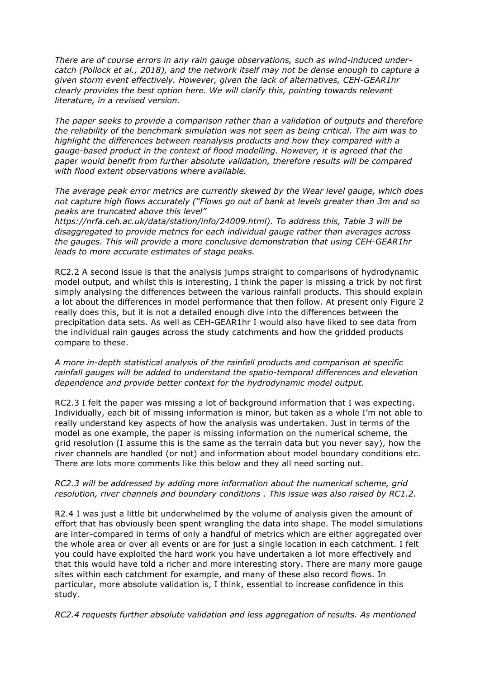*There are of course errors in any rain gauge observations, such as wind-induced undercatch (Pollock et al., 2018), and the network itself may not be dense enough to capture a given storm event effectively. However, given the lack of alternatives, CEH-GEAR1hr clearly provides the best option here. We will clarify this, pointing towards relevant literature, in a revised version.* 

*The paper seeks to provide a comparison rather than a validation of outputs and therefore the reliability of the benchmark simulation was not seen as being critical. The aim was to highlight the differences between reanalysis products and how they compared with a gauge-based product in the context of flood modelling. However, it is agreed that the paper would benefit from further absolute validation, therefore results will be compared with flood extent observations where available.* 

*The average peak error metrics are currently skewed by the Wear level gauge, which does not capture high flows accurately ("Flows go out of bank at levels greater than 3m and so peaks are truncated above this level"*

*https://nrfa.ceh.ac.uk/data/station/info/24009.html). To address this, Table 3 will be disaggregated to provide metrics for each individual gauge rather than averages across the gauges. This will provide a more conclusive demonstration that using CEH-GEAR1hr leads to more accurate estimates of stage peaks.* 

RC2.2 A second issue is that the analysis jumps straight to comparisons of hydrodynamic model output, and whilst this is interesting, I think the paper is missing a trick by not first simply analysing the differences between the various rainfall products. This should explain a lot about the differences in model performance that then follow. At present only Figure 2 really does this, but it is not a detailed enough dive into the differences between the precipitation data sets. As well as CEH-GEAR1hr I would also have liked to see data from the individual rain gauges across the study catchments and how the gridded products compare to these.

*A more in-depth statistical analysis of the rainfall products and comparison at specific rainfall gauges will be added to understand the spatio-temporal differences and elevation dependence and provide better context for the hydrodynamic model output.*

RC2.3 I felt the paper was missing a lot of background information that I was expecting. Individually, each bit of missing information is minor, but taken as a whole I'm not able to really understand key aspects of how the analysis was undertaken. Just in terms of the model as one example, the paper is missing information on the numerical scheme, the grid resolution (I assume this is the same as the terrain data but you never say), how the river channels are handled (or not) and information about model boundary conditions etc. There are lots more comments like this below and they all need sorting out.

## *RC2.3 will be addressed by adding more information about the numerical scheme, grid resolution, river channels and boundary conditions . This issue was also raised by RC1.2.*

R2.4 I was just a little bit underwhelmed by the volume of analysis given the amount of effort that has obviously been spent wrangling the data into shape. The model simulations are inter-compared in terms of only a handful of metrics which are either aggregated over the whole area or over all events or are for just a single location in each catchment. I felt you could have exploited the hard work you have undertaken a lot more effectively and that this would have told a richer and more interesting story. There are many more gauge sites within each catchment for example, and many of these also record flows. In particular, more absolute validation is, I think, essential to increase confidence in this study.

*RC2.4 requests further absolute validation and less aggregation of results. As mentioned*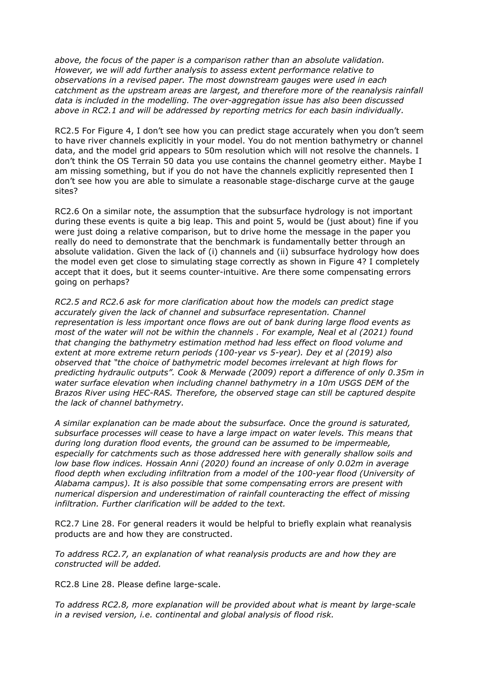*above, the focus of the paper is a comparison rather than an absolute validation. However, we will add further analysis to assess extent performance relative to observations in a revised paper. The most downstream gauges were used in each catchment as the upstream areas are largest, and therefore more of the reanalysis rainfall data is included in the modelling. The over-aggregation issue has also been discussed above in RC2.1 and will be addressed by reporting metrics for each basin individually.*

RC2.5 For Figure 4, I don't see how you can predict stage accurately when you don't seem to have river channels explicitly in your model. You do not mention bathymetry or channel data, and the model grid appears to 50m resolution which will not resolve the channels. I don't think the OS Terrain 50 data you use contains the channel geometry either. Maybe I am missing something, but if you do not have the channels explicitly represented then I don't see how you are able to simulate a reasonable stage-discharge curve at the gauge sites?

RC2.6 On a similar note, the assumption that the subsurface hydrology is not important during these events is quite a big leap. This and point 5, would be (just about) fine if you were just doing a relative comparison, but to drive home the message in the paper you really do need to demonstrate that the benchmark is fundamentally better through an absolute validation. Given the lack of (i) channels and (ii) subsurface hydrology how does the model even get close to simulating stage correctly as shown in Figure 4? I completely accept that it does, but it seems counter-intuitive. Are there some compensating errors going on perhaps?

*RC2.5 and RC2.6 ask for more clarification about how the models can predict stage accurately given the lack of channel and subsurface representation. Channel representation is less important once flows are out of bank during large flood events as most of the water will not be within the channels . For example, Neal et al (2021) found that changing the bathymetry estimation method had less effect on flood volume and extent at more extreme return periods (100-year vs 5-year). Dey et al (2019) also observed that "the choice of bathymetric model becomes irrelevant at high flows for predicting hydraulic outputs". Cook & Merwade (2009) report a difference of only 0.35m in water surface elevation when including channel bathymetry in a 10m USGS DEM of the Brazos River using HEC-RAS. Therefore, the observed stage can still be captured despite the lack of channel bathymetry.* 

*A similar explanation can be made about the subsurface. Once the ground is saturated, subsurface processes will cease to have a large impact on water levels. This means that during long duration flood events, the ground can be assumed to be impermeable, especially for catchments such as those addressed here with generally shallow soils and low base flow indices. Hossain Anni (2020) found an increase of only 0.02m in average flood depth when excluding infiltration from a model of the 100-year flood (University of Alabama campus). It is also possible that some compensating errors are present with numerical dispersion and underestimation of rainfall counteracting the effect of missing infiltration. Further clarification will be added to the text.*

RC2.7 Line 28. For general readers it would be helpful to briefly explain what reanalysis products are and how they are constructed.

*To address RC2.7, an explanation of what reanalysis products are and how they are constructed will be added.*

RC2.8 Line 28. Please define large-scale.

*To address RC2.8, more explanation will be provided about what is meant by large-scale in a revised version, i.e. continental and global analysis of flood risk.*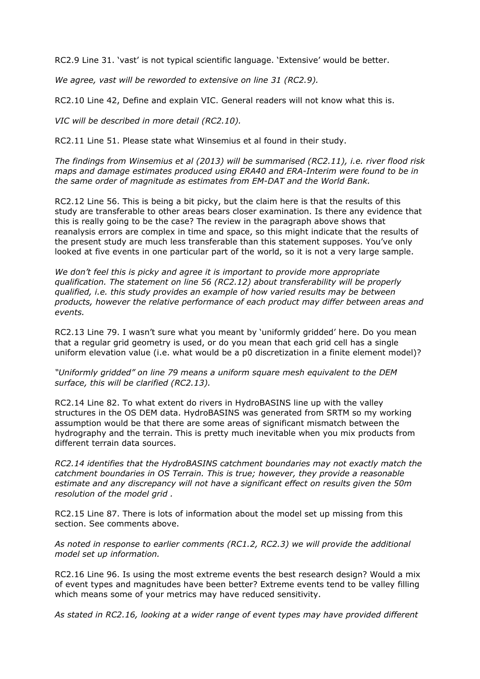RC2.9 Line 31. 'vast' is not typical scientific language. 'Extensive' would be better.

*We agree, vast will be reworded to extensive on line 31 (RC2.9).*

RC2.10 Line 42, Define and explain VIC. General readers will not know what this is.

*VIC will be described in more detail (RC2.10).*

RC2.11 Line 51. Please state what Winsemius et al found in their study.

*The findings from Winsemius et al (2013) will be summarised (RC2.11), i.e. river flood risk maps and damage estimates produced using ERA40 and ERA-Interim were found to be in the same order of magnitude as estimates from EM-DAT and the World Bank.*

RC2.12 Line 56. This is being a bit picky, but the claim here is that the results of this study are transferable to other areas bears closer examination. Is there any evidence that this is really going to be the case? The review in the paragraph above shows that reanalysis errors are complex in time and space, so this might indicate that the results of the present study are much less transferable than this statement supposes. You've only looked at five events in one particular part of the world, so it is not a very large sample.

*We don't feel this is picky and agree it is important to provide more appropriate qualification. The statement on line 56 (RC2.12) about transferability will be properly qualified, i.e. this study provides an example of how varied results may be between products, however the relative performance of each product may differ between areas and events.* 

RC2.13 Line 79. I wasn't sure what you meant by 'uniformly gridded' here. Do you mean that a regular grid geometry is used, or do you mean that each grid cell has a single uniform elevation value (i.e. what would be a p0 discretization in a finite element model)?

*"Uniformly gridded" on line 79 means a uniform square mesh equivalent to the DEM surface, this will be clarified (RC2.13).*

RC2.14 Line 82. To what extent do rivers in HydroBASINS line up with the valley structures in the OS DEM data. HydroBASINS was generated from SRTM so my working assumption would be that there are some areas of significant mismatch between the hydrography and the terrain. This is pretty much inevitable when you mix products from different terrain data sources.

*RC2.14 identifies that the HydroBASINS catchment boundaries may not exactly match the catchment boundaries in OS Terrain. This is true; however, they provide a reasonable estimate and any discrepancy will not have a significant effect on results given the 50m resolution of the model grid .*

RC2.15 Line 87. There is lots of information about the model set up missing from this section. See comments above.

*As noted in response to earlier comments (RC1.2, RC2.3) we will provide the additional model set up information.*

RC2.16 Line 96. Is using the most extreme events the best research design? Would a mix of event types and magnitudes have been better? Extreme events tend to be valley filling which means some of your metrics may have reduced sensitivity.

*As stated in RC2.16, looking at a wider range of event types may have provided different*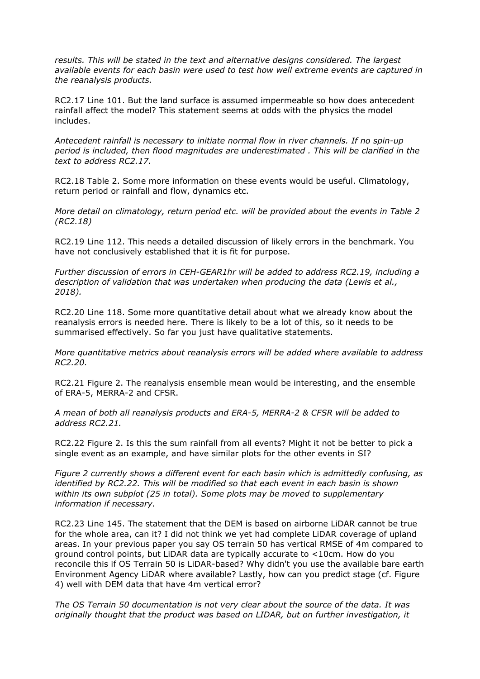*results. This will be stated in the text and alternative designs considered. The largest available events for each basin were used to test how well extreme events are captured in the reanalysis products.*

RC2.17 Line 101. But the land surface is assumed impermeable so how does antecedent rainfall affect the model? This statement seems at odds with the physics the model includes.

*Antecedent rainfall is necessary to initiate normal flow in river channels. If no spin-up period is included, then flood magnitudes are underestimated . This will be clarified in the text to address RC2.17.*

RC2.18 Table 2. Some more information on these events would be useful. Climatology, return period or rainfall and flow, dynamics etc.

*More detail on climatology, return period etc. will be provided about the events in Table 2 (RC2.18)*

RC2.19 Line 112. This needs a detailed discussion of likely errors in the benchmark. You have not conclusively established that it is fit for purpose.

*Further discussion of errors in CEH-GEAR1hr will be added to address RC2.19, including a description of validation that was undertaken when producing the data (Lewis et al., 2018).*

RC2.20 Line 118. Some more quantitative detail about what we already know about the reanalysis errors is needed here. There is likely to be a lot of this, so it needs to be summarised effectively. So far you just have qualitative statements.

*More quantitative metrics about reanalysis errors will be added where available to address RC2.20.*

RC2.21 Figure 2. The reanalysis ensemble mean would be interesting, and the ensemble of ERA-5, MERRA-2 and CFSR.

*A mean of both all reanalysis products and ERA-5, MERRA-2 & CFSR will be added to address RC2.21.*

RC2.22 Figure 2. Is this the sum rainfall from all events? Might it not be better to pick a single event as an example, and have similar plots for the other events in SI?

*Figure 2 currently shows a different event for each basin which is admittedly confusing, as identified by RC2.22. This will be modified so that each event in each basin is shown within its own subplot (25 in total). Some plots may be moved to supplementary information if necessary.* 

RC2.23 Line 145. The statement that the DEM is based on airborne LiDAR cannot be true for the whole area, can it? I did not think we yet had complete LiDAR coverage of upland areas. In your previous paper you say OS terrain 50 has vertical RMSE of 4m compared to ground control points, but LiDAR data are typically accurate to <10cm. How do you reconcile this if OS Terrain 50 is LiDAR-based? Why didn't you use the available bare earth Environment Agency LiDAR where available? Lastly, how can you predict stage (cf. Figure 4) well with DEM data that have 4m vertical error?

*The OS Terrain 50 documentation is not very clear about the source of the data. It was originally thought that the product was based on LIDAR, but on further investigation, it*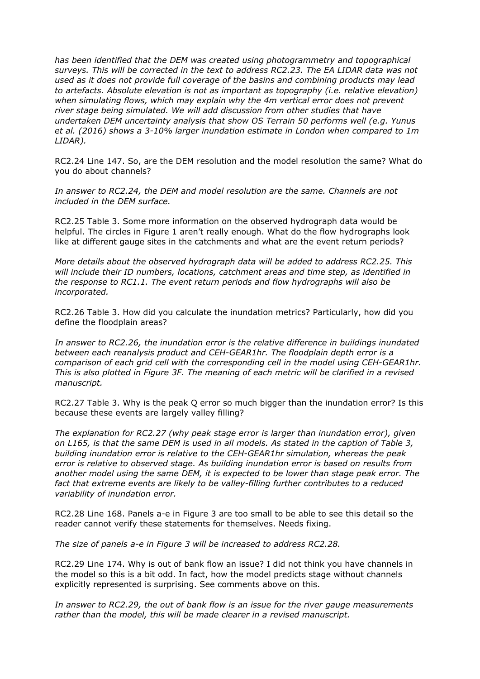*has been identified that the DEM was created using photogrammetry and topographical surveys. This will be corrected in the text to address RC2.23. The EA LIDAR data was not used as it does not provide full coverage of the basins and combining products may lead to artefacts. Absolute elevation is not as important as topography (i.e. relative elevation) when simulating flows, which may explain why the 4m vertical error does not prevent river stage being simulated. We will add discussion from other studies that have undertaken DEM uncertainty analysis that show OS Terrain 50 performs well (e.g. Yunus et al. (2016) shows a 3-10% larger inundation estimate in London when compared to 1m LIDAR).*

RC2.24 Line 147. So, are the DEM resolution and the model resolution the same? What do you do about channels?

*In answer to RC2.24, the DEM and model resolution are the same. Channels are not included in the DEM surface.*

RC2.25 Table 3. Some more information on the observed hydrograph data would be helpful. The circles in Figure 1 aren't really enough. What do the flow hydrographs look like at different gauge sites in the catchments and what are the event return periods?

*More details about the observed hydrograph data will be added to address RC2.25. This will include their ID numbers, locations, catchment areas and time step, as identified in the response to RC1.1. The event return periods and flow hydrographs will also be incorporated.*

RC2.26 Table 3. How did you calculate the inundation metrics? Particularly, how did you define the floodplain areas?

*In answer to RC2.26, the inundation error is the relative difference in buildings inundated between each reanalysis product and CEH-GEAR1hr. The floodplain depth error is a comparison of each grid cell with the corresponding cell in the model using CEH-GEAR1hr. This is also plotted in Figure 3F. The meaning of each metric will be clarified in a revised manuscript.*

RC2.27 Table 3. Why is the peak Q error so much bigger than the inundation error? Is this because these events are largely valley filling?

*The explanation for RC2.27 (why peak stage error is larger than inundation error), given on L165, is that the same DEM is used in all models. As stated in the caption of Table 3, building inundation error is relative to the CEH-GEAR1hr simulation, whereas the peak error is relative to observed stage. As building inundation error is based on results from another model using the same DEM, it is expected to be lower than stage peak error. The fact that extreme events are likely to be valley-filling further contributes to a reduced variability of inundation error.*

RC2.28 Line 168. Panels a-e in Figure 3 are too small to be able to see this detail so the reader cannot verify these statements for themselves. Needs fixing.

*The size of panels a-e in Figure 3 will be increased to address RC2.28.*

RC2.29 Line 174. Why is out of bank flow an issue? I did not think you have channels in the model so this is a bit odd. In fact, how the model predicts stage without channels explicitly represented is surprising. See comments above on this.

*In answer to RC2.29, the out of bank flow is an issue for the river gauge measurements rather than the model, this will be made clearer in a revised manuscript.*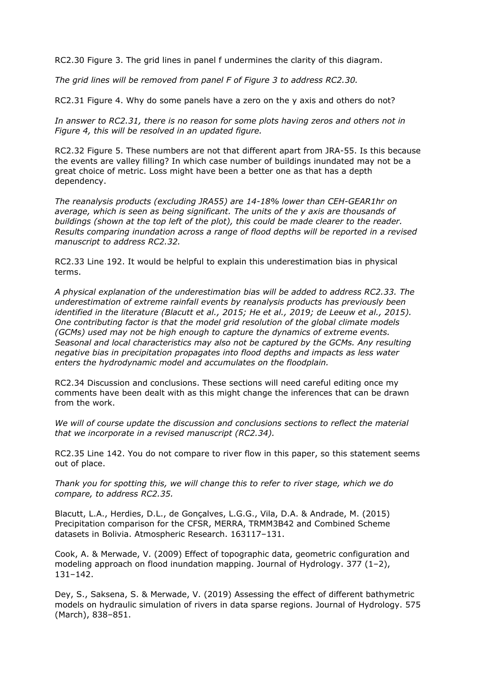RC2.30 Figure 3. The grid lines in panel f undermines the clarity of this diagram.

*The grid lines will be removed from panel F of Figure 3 to address RC2.30.*

RC2.31 Figure 4. Why do some panels have a zero on the y axis and others do not?

*In answer to RC2.31, there is no reason for some plots having zeros and others not in Figure 4, this will be resolved in an updated figure.*

RC2.32 Figure 5. These numbers are not that different apart from JRA-55. Is this because the events are valley filling? In which case number of buildings inundated may not be a great choice of metric. Loss might have been a better one as that has a depth dependency.

*The reanalysis products (excluding JRA55) are 14-18% lower than CEH-GEAR1hr on average, which is seen as being significant. The units of the y axis are thousands of buildings (shown at the top left of the plot), this could be made clearer to the reader. Results comparing inundation across a range of flood depths will be reported in a revised manuscript to address RC2.32.*

RC2.33 Line 192. It would be helpful to explain this underestimation bias in physical terms.

*A physical explanation of the underestimation bias will be added to address RC2.33. The underestimation of extreme rainfall events by reanalysis products has previously been identified in the literature (Blacutt et al., 2015; He et al., 2019; de Leeuw et al., 2015). One contributing factor is that the model grid resolution of the global climate models (GCMs) used may not be high enough to capture the dynamics of extreme events. Seasonal and local characteristics may also not be captured by the GCMs. Any resulting negative bias in precipitation propagates into flood depths and impacts as less water enters the hydrodynamic model and accumulates on the floodplain.* 

RC2.34 Discussion and conclusions. These sections will need careful editing once my comments have been dealt with as this might change the inferences that can be drawn from the work.

*We will of course update the discussion and conclusions sections to reflect the material that we incorporate in a revised manuscript (RC2.34).* 

RC2.35 Line 142. You do not compare to river flow in this paper, so this statement seems out of place.

*Thank you for spotting this, we will change this to refer to river stage, which we do compare, to address RC2.35.*

Blacutt, L.A., Herdies, D.L., de Gonçalves, L.G.G., Vila, D.A. & Andrade, M. (2015) Precipitation comparison for the CFSR, MERRA, TRMM3B42 and Combined Scheme datasets in Bolivia. Atmospheric Research. 163117–131.

Cook, A. & Merwade, V. (2009) Effect of topographic data, geometric configuration and modeling approach on flood inundation mapping. Journal of Hydrology. 377 (1–2), 131–142.

Dey, S., Saksena, S. & Merwade, V. (2019) Assessing the effect of different bathymetric models on hydraulic simulation of rivers in data sparse regions. Journal of Hydrology. 575 (March), 838–851.